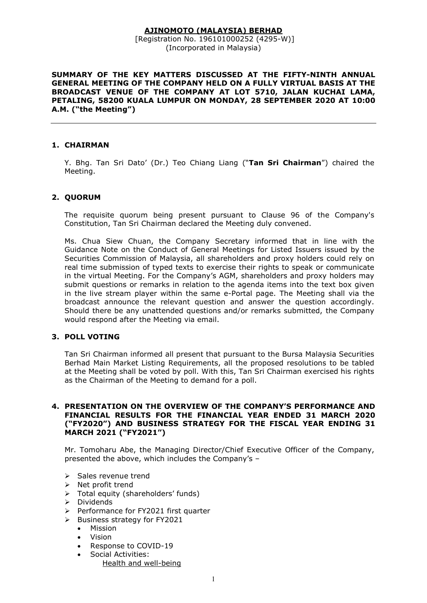# AJINOMOTO (MALAYSIA) BERHAD

 [Registration No. 196101000252 (4295-W)] (Incorporated in Malaysia)

SUMMARY OF THE KEY MATTERS DISCUSSED AT THE FIFTY-NINTH ANNUAL GENERAL MEETING OF THE COMPANY HELD ON A FULLY VIRTUAL BASIS AT THE BROADCAST VENUE OF THE COMPANY AT LOT 5710, JALAN KUCHAI LAMA, PETALING, 58200 KUALA LUMPUR ON MONDAY, 28 SEPTEMBER 2020 AT 10:00 A.M. ("the Meeting")

### 1. CHAIRMAN

Y. Bhg. Tan Sri Dato' (Dr.) Teo Chiang Liang ("Tan Sri Chairman") chaired the Meeting.

## 2. QUORUM

 The requisite quorum being present pursuant to Clause 96 of the Company's Constitution, Tan Sri Chairman declared the Meeting duly convened.

 Ms. Chua Siew Chuan, the Company Secretary informed that in line with the Guidance Note on the Conduct of General Meetings for Listed Issuers issued by the Securities Commission of Malaysia, all shareholders and proxy holders could rely on real time submission of typed texts to exercise their rights to speak or communicate in the virtual Meeting. For the Company's AGM, shareholders and proxy holders may submit questions or remarks in relation to the agenda items into the text box given in the live stream player within the same e-Portal page. The Meeting shall via the broadcast announce the relevant question and answer the question accordingly. Should there be any unattended questions and/or remarks submitted, the Company would respond after the Meeting via email.

#### 3. POLL VOTING

Tan Sri Chairman informed all present that pursuant to the Bursa Malaysia Securities Berhad Main Market Listing Requirements, all the proposed resolutions to be tabled at the Meeting shall be voted by poll. With this, Tan Sri Chairman exercised his rights as the Chairman of the Meeting to demand for a poll.

#### 4. PRESENTATION ON THE OVERVIEW OF THE COMPANY'S PERFORMANCE AND FINANCIAL RESULTS FOR THE FINANCIAL YEAR ENDED 31 MARCH 2020 ("FY2020") AND BUSINESS STRATEGY FOR THE FISCAL YEAR ENDING 31 MARCH 2021 ("FY2021")

Mr. Tomoharu Abe, the Managing Director/Chief Executive Officer of the Company, presented the above, which includes the Company's –

- $\triangleright$  Sales revenue trend
- $\triangleright$  Net profit trend
- > Total equity (shareholders' funds)
- $\triangleright$  Dividends
- $\triangleright$  Performance for FY2021 first quarter
- $\triangleright$  Business strategy for FY2021
	- Mission
	- Vision
	- Response to COVID-19
	- Social Activities: Health and well-being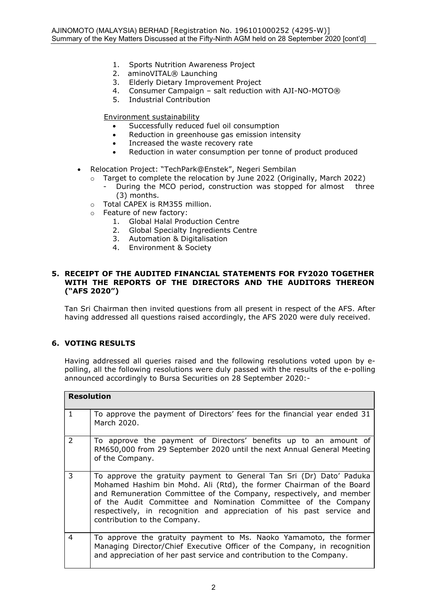- 1. Sports Nutrition Awareness Project
- 2. aminoVITAL® Launching
- 3. Elderly Dietary Improvement Project
- 4. Consumer Campaign salt reduction with AJI-NO-MOTO®
- 5. Industrial Contribution

Environment sustainability

- Successfully reduced fuel oil consumption
- Reduction in greenhouse gas emission intensity
- Increased the waste recovery rate
- Reduction in water consumption per tonne of product produced
- Relocation Project: "TechPark@Enstek", Negeri Sembilan
	- o Target to complete the relocation by June 2022 (Originally, March 2022)
		- During the MCO period, construction was stopped for almost three (3) months.
	- o Total CAPEX is RM355 million.
	- Feature of new factory:
		- 1. Global Halal Production Centre
		- 2. Global Specialty Ingredients Centre
		- 3. Automation & Digitalisation
		- 4. Environment & Society

#### 5. RECEIPT OF THE AUDITED FINANCIAL STATEMENTS FOR FY2020 TOGETHER WITH THE REPORTS OF THE DIRECTORS AND THE AUDITORS THEREON ("AFS 2020")

Tan Sri Chairman then invited questions from all present in respect of the AFS. After having addressed all questions raised accordingly, the AFS 2020 were duly received.

# 6. VOTING RESULTS

Having addressed all queries raised and the following resolutions voted upon by epolling, all the following resolutions were duly passed with the results of the e-polling announced accordingly to Bursa Securities on 28 September 2020:-

| <b>Resolution</b> |                                                                                                                                                                                                                                                                                                                                                                                                |
|-------------------|------------------------------------------------------------------------------------------------------------------------------------------------------------------------------------------------------------------------------------------------------------------------------------------------------------------------------------------------------------------------------------------------|
| $\mathbf{1}$      | To approve the payment of Directors' fees for the financial year ended 31<br>March 2020.                                                                                                                                                                                                                                                                                                       |
| $\mathcal{P}$     | To approve the payment of Directors' benefits up to an amount of<br>RM650,000 from 29 September 2020 until the next Annual General Meeting<br>of the Company.                                                                                                                                                                                                                                  |
| 3                 | To approve the gratuity payment to General Tan Sri (Dr) Dato' Paduka<br>Mohamed Hashim bin Mohd. Ali (Rtd), the former Chairman of the Board<br>and Remuneration Committee of the Company, respectively, and member<br>of the Audit Committee and Nomination Committee of the Company<br>respectively, in recognition and appreciation of his past service and<br>contribution to the Company. |
| 4                 | To approve the gratuity payment to Ms. Naoko Yamamoto, the former<br>Managing Director/Chief Executive Officer of the Company, in recognition<br>and appreciation of her past service and contribution to the Company.                                                                                                                                                                         |